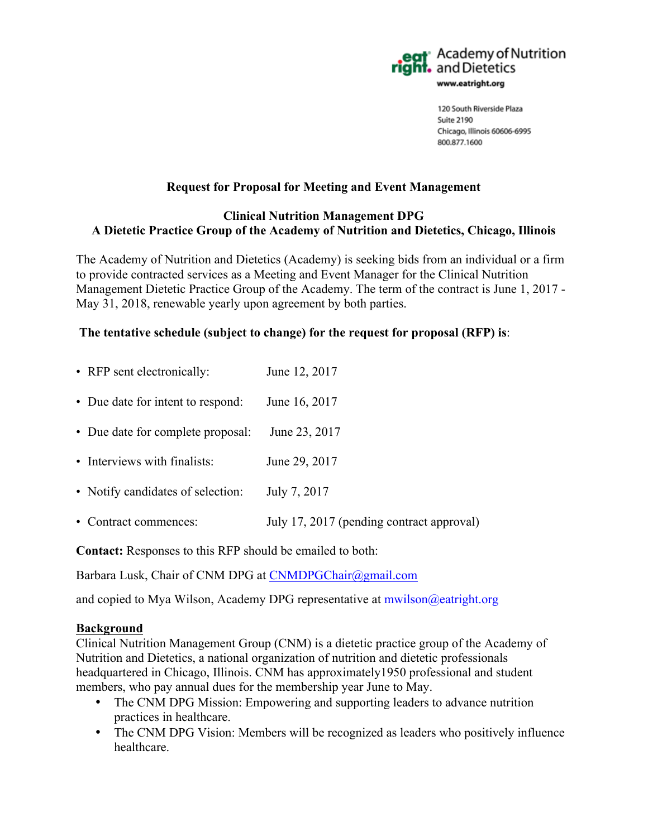

### **Request for Proposal for Meeting and Event Management**

### **Clinical Nutrition Management DPG A Dietetic Practice Group of the Academy of Nutrition and Dietetics, Chicago, Illinois**

The Academy of Nutrition and Dietetics (Academy) is seeking bids from an individual or a firm to provide contracted services as a Meeting and Event Manager for the Clinical Nutrition Management Dietetic Practice Group of the Academy. The term of the contract is June 1, 2017 - May 31, 2018, renewable yearly upon agreement by both parties.

### **The tentative schedule (subject to change) for the request for proposal (RFP) is**:

| • RFP sent electronically:        | June 12, 2017                             |
|-----------------------------------|-------------------------------------------|
| • Due date for intent to respond: | June 16, 2017                             |
| • Due date for complete proposal: | June 23, 2017                             |
| • Interviews with finalists:      | June 29, 2017                             |
| • Notify candidates of selection: | July 7, 2017                              |
| • Contract commences:             | July 17, 2017 (pending contract approval) |

**Contact:** Responses to this RFP should be emailed to both:

Barbara Lusk, Chair of CNM DPG at CNMDPGChair@gmail.com

and copied to Mya Wilson, Academy DPG representative at mwilson@eatright.org

### **Background**

Clinical Nutrition Management Group (CNM) is a dietetic practice group of the Academy of Nutrition and Dietetics, a national organization of nutrition and dietetic professionals headquartered in Chicago, Illinois. CNM has approximately1950 professional and student members, who pay annual dues for the membership year June to May.

- The CNM DPG Mission: Empowering and supporting leaders to advance nutrition practices in healthcare.
- The CNM DPG Vision: Members will be recognized as leaders who positively influence healthcare.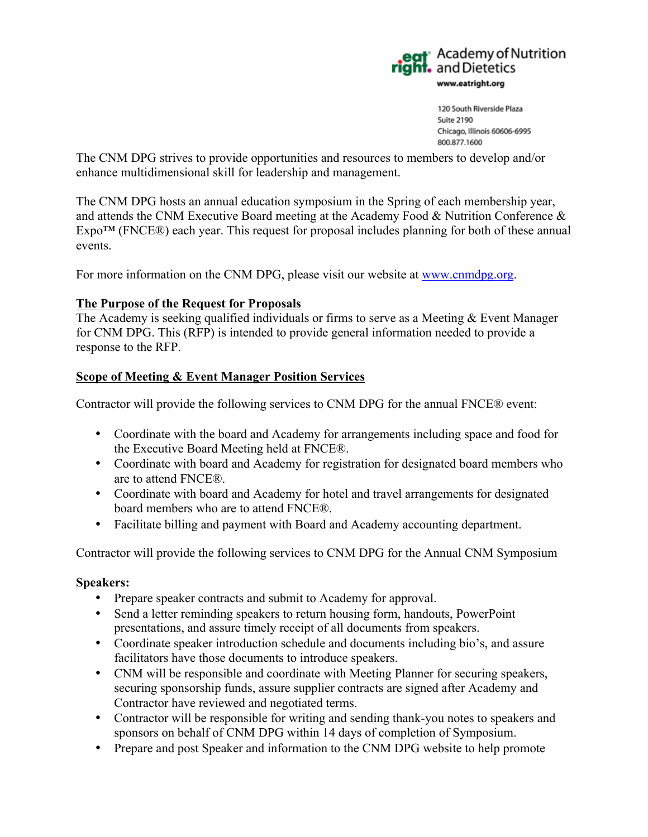

The CNM DPG strives to provide opportunities and resources to members to develop and/or enhance multidimensional skill for leadership and management.

The CNM DPG hosts an annual education symposium in the Spring of each membership year, and attends the CNM Executive Board meeting at the Academy Food & Nutrition Conference &  $Expo<sup>TM</sup>$  (FNCE®) each year. This request for proposal includes planning for both of these annual events.

For more information on the CNM DPG, please visit our website at www.cnmdpg.org.

### **The Purpose of the Request for Proposals**

The Academy is seeking qualified individuals or firms to serve as a Meeting & Event Manager for CNM DPG. This (RFP) is intended to provide general information needed to provide a response to the RFP.

### **Scope of Meeting & Event Manager Position Services**

Contractor will provide the following services to CNM DPG for the annual FNCE® event:

- Coordinate with the board and Academy for arrangements including space and food for the Executive Board Meeting held at FNCE®.
- Coordinate with board and Academy for registration for designated board members who are to attend FNCE®.
- Coordinate with board and Academy for hotel and travel arrangements for designated board members who are to attend FNCE®.
- Facilitate billing and payment with Board and Academy accounting department.

Contractor will provide the following services to CNM DPG for the Annual CNM Symposium

### **Speakers:**

- Prepare speaker contracts and submit to Academy for approval.
- Send a letter reminding speakers to return housing form, handouts, PowerPoint presentations, and assure timely receipt of all documents from speakers.
- Coordinate speaker introduction schedule and documents including bio's, and assure facilitators have those documents to introduce speakers.
- CNM will be responsible and coordinate with Meeting Planner for securing speakers, securing sponsorship funds, assure supplier contracts are signed after Academy and Contractor have reviewed and negotiated terms.
- Contractor will be responsible for writing and sending thank-you notes to speakers and sponsors on behalf of CNM DPG within 14 days of completion of Symposium.
- Prepare and post Speaker and information to the CNM DPG website to help promote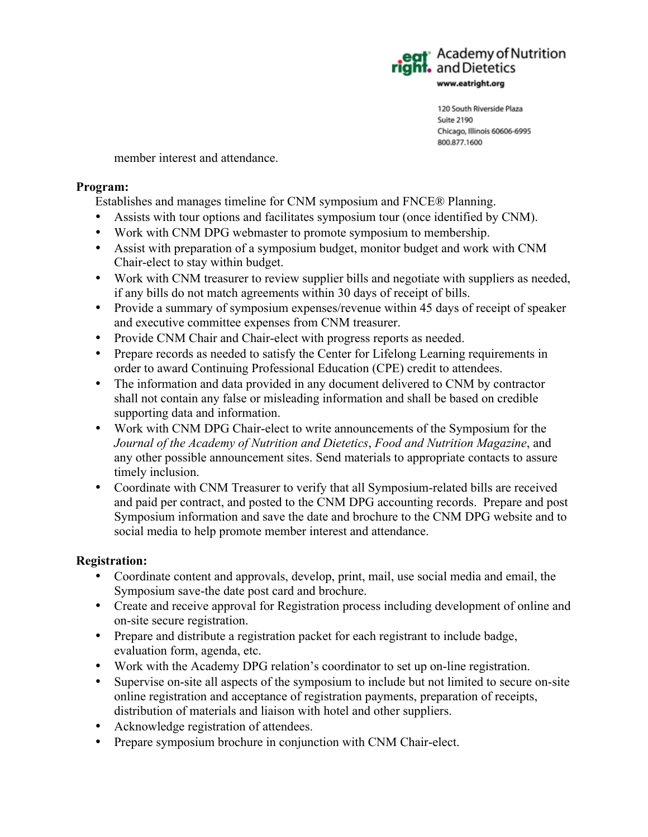**R** Academy of Nutrition eat Academy of Neat Pright.<br> **right.** and Dietetics www.eatright.org

> 120 South Riverside Plaza Suite 2190 Chicago, Illinois 60606-6995 800.877.1600

member interest and attendance.

### **Program:**

Establishes and manages timeline for CNM symposium and FNCE® Planning.

- Assists with tour options and facilitates symposium tour (once identified by CNM).
- Work with CNM DPG webmaster to promote symposium to membership.
- Assist with preparation of a symposium budget, monitor budget and work with CNM Chair-elect to stay within budget.
- Work with CNM treasurer to review supplier bills and negotiate with suppliers as needed, if any bills do not match agreements within 30 days of receipt of bills.
- Provide a summary of symposium expenses/revenue within 45 days of receipt of speaker and executive committee expenses from CNM treasurer.
- Provide CNM Chair and Chair-elect with progress reports as needed.
- Prepare records as needed to satisfy the Center for Lifelong Learning requirements in order to award Continuing Professional Education (CPE) credit to attendees.
- The information and data provided in any document delivered to CNM by contractor shall not contain any false or misleading information and shall be based on credible supporting data and information.
- Work with CNM DPG Chair-elect to write announcements of the Symposium for the *Journal of the Academy of Nutrition and Dietetics*, *Food and Nutrition Magazine*, and any other possible announcement sites. Send materials to appropriate contacts to assure timely inclusion.
- Coordinate with CNM Treasurer to verify that all Symposium-related bills are received and paid per contract, and posted to the CNM DPG accounting records. Prepare and post Symposium information and save the date and brochure to the CNM DPG website and to social media to help promote member interest and attendance.

### **Registration:**

- Coordinate content and approvals, develop, print, mail, use social media and email, the Symposium save-the date post card and brochure.
- Create and receive approval for Registration process including development of online and on-site secure registration.
- Prepare and distribute a registration packet for each registrant to include badge, evaluation form, agenda, etc.
- Work with the Academy DPG relation's coordinator to set up on-line registration.
- Supervise on-site all aspects of the symposium to include but not limited to secure on-site online registration and acceptance of registration payments, preparation of receipts, distribution of materials and liaison with hotel and other suppliers.
- Acknowledge registration of attendees.
- Prepare symposium brochure in conjunction with CNM Chair-elect.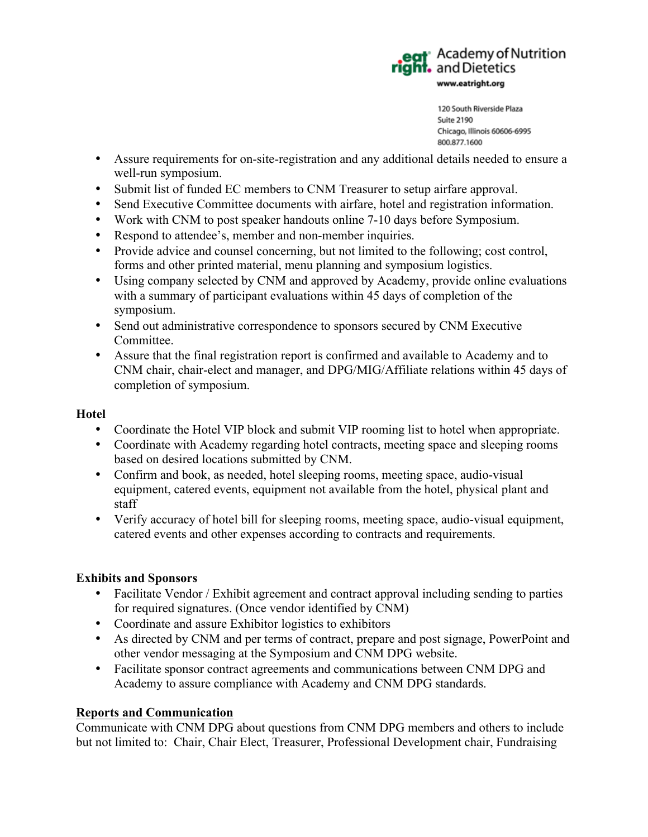

- Assure requirements for on-site-registration and any additional details needed to ensure a well-run symposium.
- Submit list of funded EC members to CNM Treasurer to setup airfare approval.
- Send Executive Committee documents with airfare, hotel and registration information.
- Work with CNM to post speaker handouts online 7-10 days before Symposium.
- Respond to attendee's, member and non-member inquiries.
- Provide advice and counsel concerning, but not limited to the following; cost control, forms and other printed material, menu planning and symposium logistics.
- Using company selected by CNM and approved by Academy, provide online evaluations with a summary of participant evaluations within 45 days of completion of the symposium.
- Send out administrative correspondence to sponsors secured by CNM Executive Committee.
- Assure that the final registration report is confirmed and available to Academy and to CNM chair, chair-elect and manager, and DPG/MIG/Affiliate relations within 45 days of completion of symposium.

## **Hotel**

- Coordinate the Hotel VIP block and submit VIP rooming list to hotel when appropriate.
- Coordinate with Academy regarding hotel contracts, meeting space and sleeping rooms based on desired locations submitted by CNM.
- Confirm and book, as needed, hotel sleeping rooms, meeting space, audio-visual equipment, catered events, equipment not available from the hotel, physical plant and staff
- Verify accuracy of hotel bill for sleeping rooms, meeting space, audio-visual equipment, catered events and other expenses according to contracts and requirements.

## **Exhibits and Sponsors**

- Facilitate Vendor / Exhibit agreement and contract approval including sending to parties for required signatures. (Once vendor identified by CNM)
- Coordinate and assure Exhibitor logistics to exhibitors
- As directed by CNM and per terms of contract, prepare and post signage, PowerPoint and other vendor messaging at the Symposium and CNM DPG website.
- Facilitate sponsor contract agreements and communications between CNM DPG and Academy to assure compliance with Academy and CNM DPG standards.

## **Reports and Communication**

Communicate with CNM DPG about questions from CNM DPG members and others to include but not limited to: Chair, Chair Elect, Treasurer, Professional Development chair, Fundraising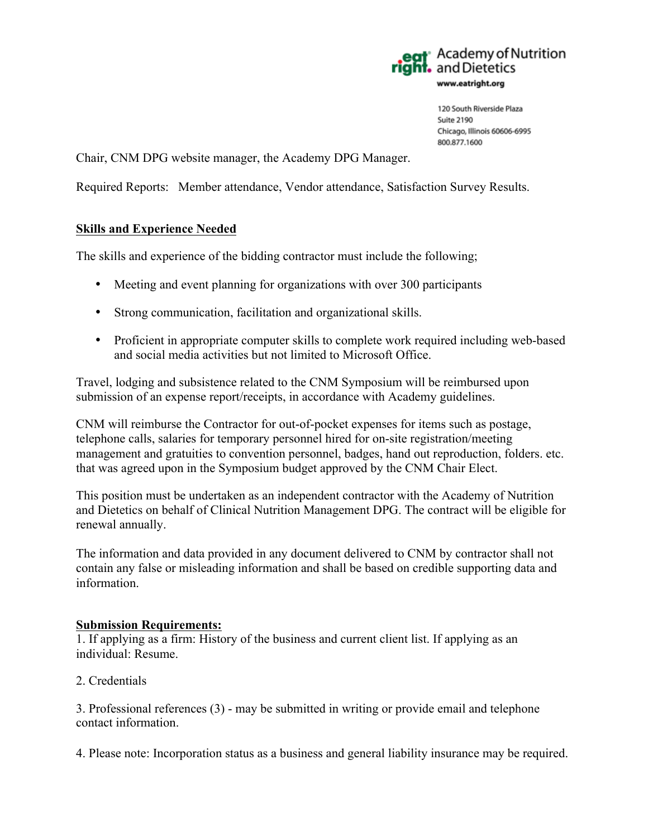

Chair, CNM DPG website manager, the Academy DPG Manager.

Required Reports: Member attendance, Vendor attendance, Satisfaction Survey Results.

### **Skills and Experience Needed**

The skills and experience of the bidding contractor must include the following;

- Meeting and event planning for organizations with over 300 participants
- Strong communication, facilitation and organizational skills.
- Proficient in appropriate computer skills to complete work required including web-based and social media activities but not limited to Microsoft Office.

Travel, lodging and subsistence related to the CNM Symposium will be reimbursed upon submission of an expense report/receipts, in accordance with Academy guidelines.

CNM will reimburse the Contractor for out-of-pocket expenses for items such as postage, telephone calls, salaries for temporary personnel hired for on-site registration/meeting management and gratuities to convention personnel, badges, hand out reproduction, folders. etc. that was agreed upon in the Symposium budget approved by the CNM Chair Elect.

This position must be undertaken as an independent contractor with the Academy of Nutrition and Dietetics on behalf of Clinical Nutrition Management DPG. The contract will be eligible for renewal annually.

The information and data provided in any document delivered to CNM by contractor shall not contain any false or misleading information and shall be based on credible supporting data and information.

### **Submission Requirements:**

1. If applying as a firm: History of the business and current client list. If applying as an individual: Resume.

2. Credentials

3. Professional references (3) - may be submitted in writing or provide email and telephone contact information.

4. Please note: Incorporation status as a business and general liability insurance may be required.